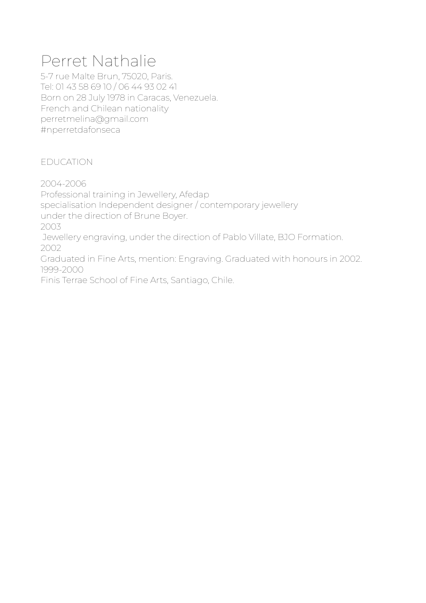# Perret Nathalie

5-7 rue Malte Brun, 75020, Paris. Tel: 01 43 58 69 10 / 06 44 93 02 41 Born on 28 July 1978 in Caracas, Venezuela. French and Chilean nationality perretmelina@gmail.com #nperretdafonseca

EDUCATION

2004-2006 Professional training in Jewellery, Afedap specialisation Independent designer / contemporary jewellery under the direction of Brune Boyer. 2003 Jewellery engraving, under the direction of Pablo Villate, BJO Formation. 2002 Graduated in Fine Arts, mention: Engraving. Graduated with honours in 2002. 1999-2000 Finis Terrae School of Fine Arts, Santiago, Chile.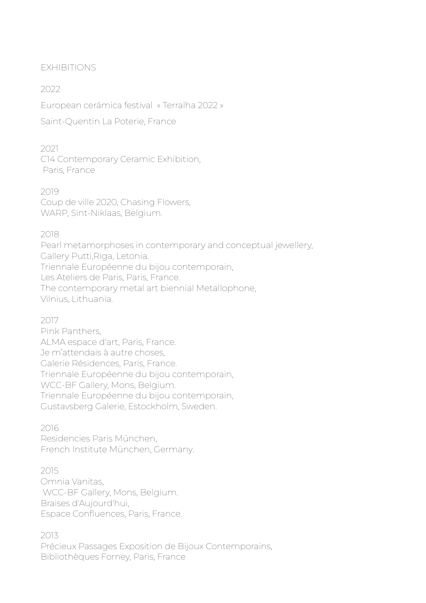### EXHIBITIONS

## 2022

European cerámica festival « Terralha 2022 »

Saint-Quentin La Poterie, France

### 2021

C14 Contemporary Ceramic Exhibition, Paris, France

2019 Coup de ville 2020, Chasing Flowers, WARP, Sint-Niklaas, Belgium.

## 2018

Pearl metamorphoses in contemporary and conceptual jewellery, Gallery Putti,Riga, Letonia. Triennale Européenne du bijou contemporain, Les Ateliers de Paris, Paris, France. The contemporary metal art biennial Metallophone, Vilnius, Lithuania.

## 2017

Pink Panthers, ALMA espace d'art, Paris, France. Je m'attendais à autre choses, Galerie Résidences, Paris, France. Triennale Européenne du bijou contemporain, WCC-BF Gallery, Mons, Belgium. Triennale Européenne du bijou contemporain, Gustavsberg Galerie, Estockholm, Sweden.

### 2016

Residencies Paris München, French Institute München, Germany.

### 2015

Omnia Vanitas, WCC-BF Gallery, Mons, Belgium. Braises d'Aujourd'hui, Espace Confluences, Paris, France.

2013

Précieux Passages Exposition de Bijoux Contemporains, Bibliothèques Forney, Paris, France